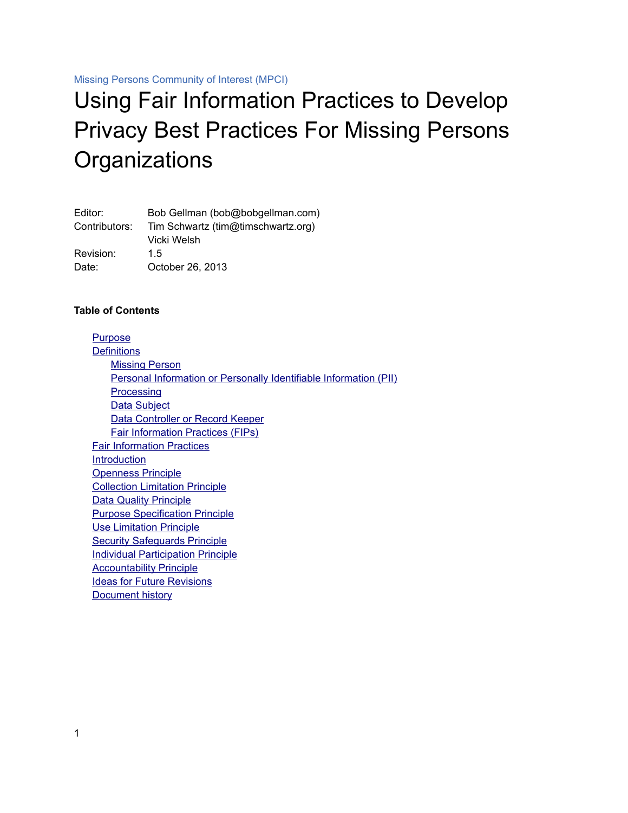Missing Persons Community of Interest (MPCI)

# Using Fair Information Practices to Develop Privacy Best Practices For Missing Persons **Organizations**

| Editor:       | Bob Gellman (bob@bobgellman.com)   |
|---------------|------------------------------------|
| Contributors: | Tim Schwartz (tim@timschwartz.org) |
|               | Vicki Welsh                        |
| Revision:     | 1.5                                |
| Date:         | October 26, 2013                   |

#### **Table of Contents**

<span id="page-0-0"></span>[Purpose](#page-1-6) **[Definitions](#page-0-0)**  [Missing Person](#page-1-5) Personal Information or Personally Identifiable Information (PII) **[Processing](#page-1-3)** Data Subject  [Data Controller or Record Keeper](#page-1-1) Fair Information Practices (FIPs)  [Fair Information Practices](#page-2-0) **[Introduction](#page-3-0)**  [Openness Principle](#page-4-0)  [Collection Limitation Principle](#page-5-0)  [Data Quality Principle](#page-6-0)  [Purpose Specification Principle](#page-7-1)  [Use Limitation Principle](#page-7-0) **Security Safeguards Principle**  [Individual Participation Principle](#page-10-0) **Accountability Principle**  [Ideas for Future Revisions](#page-12-1)  [Document history](#page-12-0)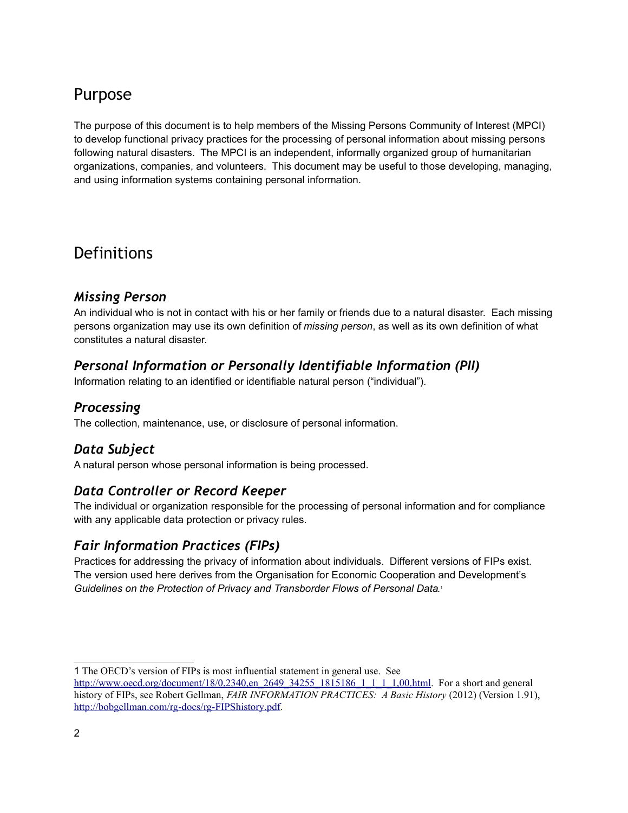### <span id="page-1-6"></span>Purpose

The purpose of this document is to help members of the Missing Persons Community of Interest (MPCI) to develop functional privacy practices for the processing of personal information about missing persons following natural disasters. The MPCI is an independent, informally organized group of humanitarian organizations, companies, and volunteers. This document may be useful to those developing, managing, and using information systems containing personal information.

### **Definitions**

#### <span id="page-1-5"></span>*Missing Person*

An individual who is not in contact with his or her family or friends due to a natural disaster. Each missing persons organization may use its own definition of *missing person*, as well as its own definition of what constitutes a natural disaster.

### <span id="page-1-4"></span>*Personal Information or Personally Identifiable Information (PII)*

Information relating to an identified or identifiable natural person ("individual").

#### <span id="page-1-3"></span>*Processing*

The collection, maintenance, use, or disclosure of personal information.

### <span id="page-1-2"></span>*Data Subject*

A natural person whose personal information is being processed.

### <span id="page-1-1"></span>*Data Controller or Record Keeper*

The individual or organization responsible for the processing of personal information and for compliance with any applicable data protection or privacy rules.

### <span id="page-1-0"></span>*Fair Information Practices (FIPs)*

Practices for addressing the privacy of information about individuals. Different versions of FIPs exist. The version used here derives from the Organisation for Economic Cooperation and Development's *Guidelines on the Protection of Privacy and Transborder Flows of Personal Data*. [1](#page-1-7)

<span id="page-1-7"></span><sup>1</sup> The OECD's version of FIPs is most influential statement in general use. See

http://www.oecd.org/document/18/0,2340, en 2649 34255 1815186 1 1 1 1,00.html. For a short and general history of FIPs, see Robert Gellman, *FAIR INFORMATION PRACTICES: A Basic History* (2012) (Version 1.91), http://bobgellman.com/rg-docs/rg-FIPShistory.pdf.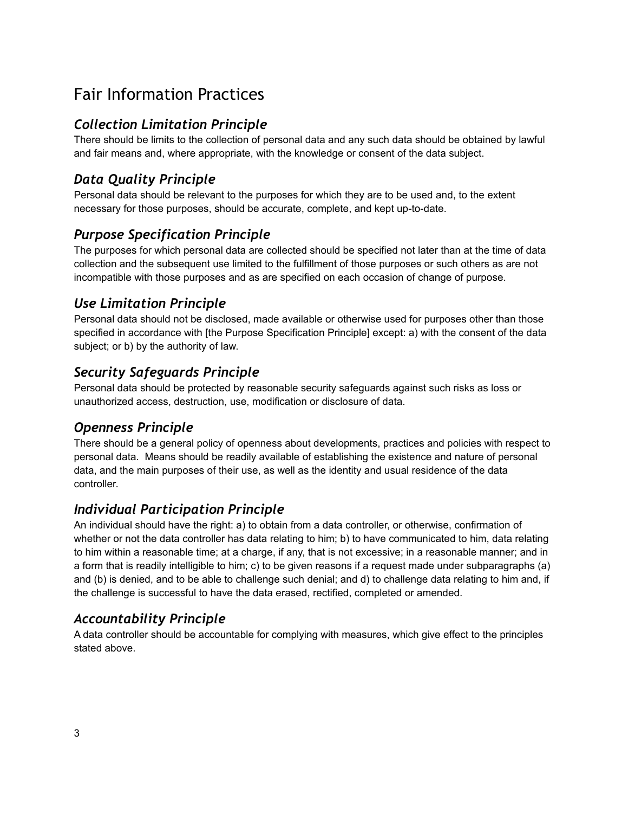### <span id="page-2-0"></span>Fair Information Practices

### *Collection Limitation Principle*

There should be limits to the collection of personal data and any such data should be obtained by lawful and fair means and, where appropriate, with the knowledge or consent of the data subject.

### *Data Quality Principle*

Personal data should be relevant to the purposes for which they are to be used and, to the extent necessary for those purposes, should be accurate, complete, and kept up-to-date.

### *Purpose Specification Principle*

The purposes for which personal data are collected should be specified not later than at the time of data collection and the subsequent use limited to the fulfillment of those purposes or such others as are not incompatible with those purposes and as are specified on each occasion of change of purpose.

### *Use Limitation Principle*

Personal data should not be disclosed, made available or otherwise used for purposes other than those specified in accordance with [the Purpose Specification Principle] except: a) with the consent of the data subject; or b) by the authority of law.

### *Security Safeguards Principle*

Personal data should be protected by reasonable security safeguards against such risks as loss or unauthorized access, destruction, use, modification or disclosure of data.

### *Openness Principle*

There should be a general policy of openness about developments, practices and policies with respect to personal data. Means should be readily available of establishing the existence and nature of personal data, and the main purposes of their use, as well as the identity and usual residence of the data controller.

#### *Individual Participation Principle*

An individual should have the right: a) to obtain from a data controller, or otherwise, confirmation of whether or not the data controller has data relating to him; b) to have communicated to him, data relating to him within a reasonable time; at a charge, if any, that is not excessive; in a reasonable manner; and in a form that is readily intelligible to him; c) to be given reasons if a request made under subparagraphs (a) and (b) is denied, and to be able to challenge such denial; and d) to challenge data relating to him and, if the challenge is successful to have the data erased, rectified, completed or amended.

#### *Accountability Principle*

A data controller should be accountable for complying with measures, which give effect to the principles stated above.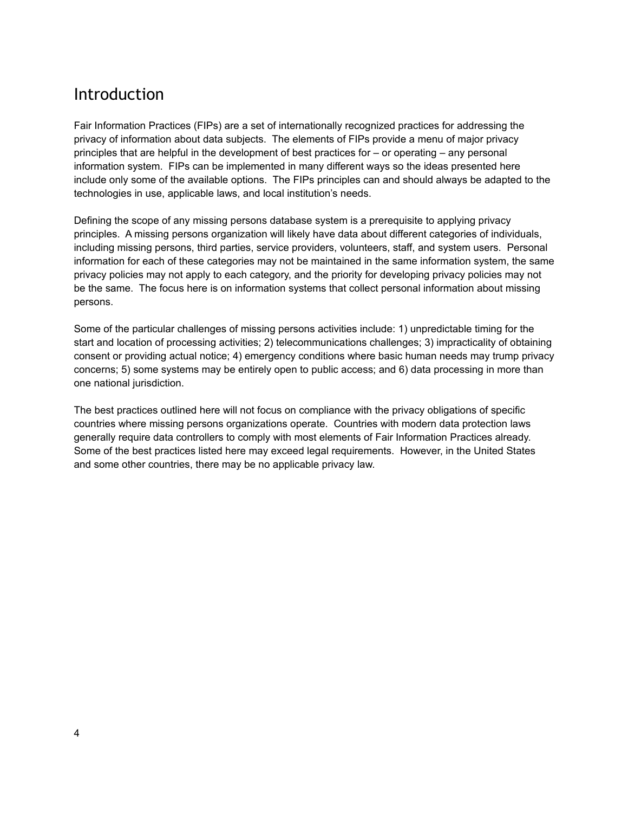### <span id="page-3-0"></span>Introduction

Fair Information Practices (FIPs) are a set of internationally recognized practices for addressing the privacy of information about data subjects. The elements of FIPs provide a menu of major privacy principles that are helpful in the development of best practices for – or operating – any personal information system. FIPs can be implemented in many different ways so the ideas presented here include only some of the available options. The FIPs principles can and should always be adapted to the technologies in use, applicable laws, and local institution's needs.

Defining the scope of any missing persons database system is a prerequisite to applying privacy principles. A missing persons organization will likely have data about different categories of individuals, including missing persons, third parties, service providers, volunteers, staff, and system users. Personal information for each of these categories may not be maintained in the same information system, the same privacy policies may not apply to each category, and the priority for developing privacy policies may not be the same. The focus here is on information systems that collect personal information about missing persons.

Some of the particular challenges of missing persons activities include: 1) unpredictable timing for the start and location of processing activities; 2) telecommunications challenges; 3) impracticality of obtaining consent or providing actual notice; 4) emergency conditions where basic human needs may trump privacy concerns; 5) some systems may be entirely open to public access; and 6) data processing in more than one national jurisdiction.

The best practices outlined here will not focus on compliance with the privacy obligations of specific countries where missing persons organizations operate. Countries with modern data protection laws generally require data controllers to comply with most elements of Fair Information Practices already. Some of the best practices listed here may exceed legal requirements. However, in the United States and some other countries, there may be no applicable privacy law.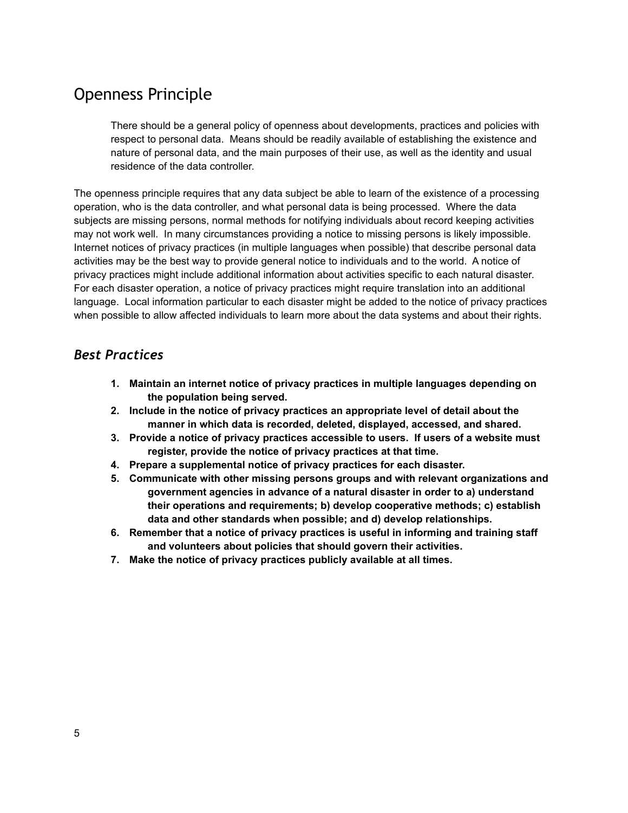### <span id="page-4-0"></span>Openness Principle

There should be a general policy of openness about developments, practices and policies with respect to personal data. Means should be readily available of establishing the existence and nature of personal data, and the main purposes of their use, as well as the identity and usual residence of the data controller.

The openness principle requires that any data subject be able to learn of the existence of a processing operation, who is the data controller, and what personal data is being processed. Where the data subjects are missing persons, normal methods for notifying individuals about record keeping activities may not work well. In many circumstances providing a notice to missing persons is likely impossible. Internet notices of privacy practices (in multiple languages when possible) that describe personal data activities may be the best way to provide general notice to individuals and to the world. A notice of privacy practices might include additional information about activities specific to each natural disaster. For each disaster operation, a notice of privacy practices might require translation into an additional language. Local information particular to each disaster might be added to the notice of privacy practices when possible to allow affected individuals to learn more about the data systems and about their rights.

- **1. Maintain an internet notice of privacy practices in multiple languages depending on the population being served.**
- **2. Include in the notice of privacy practices an appropriate level of detail about the manner in which data is recorded, deleted, displayed, accessed, and shared.**
- **3. Provide a notice of privacy practices accessible to users. If users of a website must register, provide the notice of privacy practices at that time.**
- **4. Prepare a supplemental notice of privacy practices for each disaster.**
- **5. Communicate with other missing persons groups and with relevant organizations and government agencies in advance of a natural disaster in order to a) understand their operations and requirements; b) develop cooperative methods; c) establish data and other standards when possible; and d) develop relationships.**
- **6. Remember that a notice of privacy practices is useful in informing and training staff and volunteers about policies that should govern their activities.**
- **7. Make the notice of privacy practices publicly available at all times.**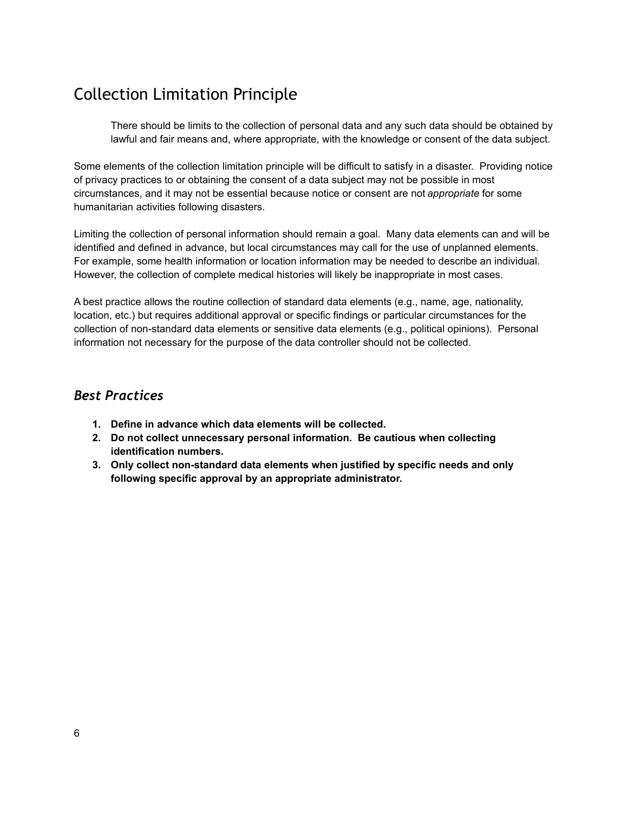### <span id="page-5-0"></span>Collection Limitation Principle

There should be limits to the collection of personal data and any such data should be obtained by lawful and fair means and, where appropriate, with the knowledge or consent of the data subject.

Some elements of the collection limitation principle will be difficult to satisfy in a disaster. Providing notice of privacy practices to or obtaining the consent of a data subject may not be possible in most circumstances, and it may not be essential because notice or consent are not *appropriate* for some humanitarian activities following disasters.

Limiting the collection of personal information should remain a goal. Many data elements can and will be identified and defined in advance, but local circumstances may call for the use of unplanned elements. For example, some health information or location information may be needed to describe an individual. However, the collection of complete medical histories will likely be inappropriate in most cases.

A best practice allows the routine collection of standard data elements (e.g., name, age, nationality, location, etc.) but requires additional approval or specific findings or particular circumstances for the collection of non-standard data elements or sensitive data elements (e.g., political opinions). Personal information not necessary for the purpose of the data controller should not be collected.

- **1. Define in advance which data elements will be collected.**
- **2. Do not collect unnecessary personal information. Be cautious when collecting identification numbers.**
- **3. Only collect non-standard data elements when justified by specific needs and only following specific approval by an appropriate administrator.**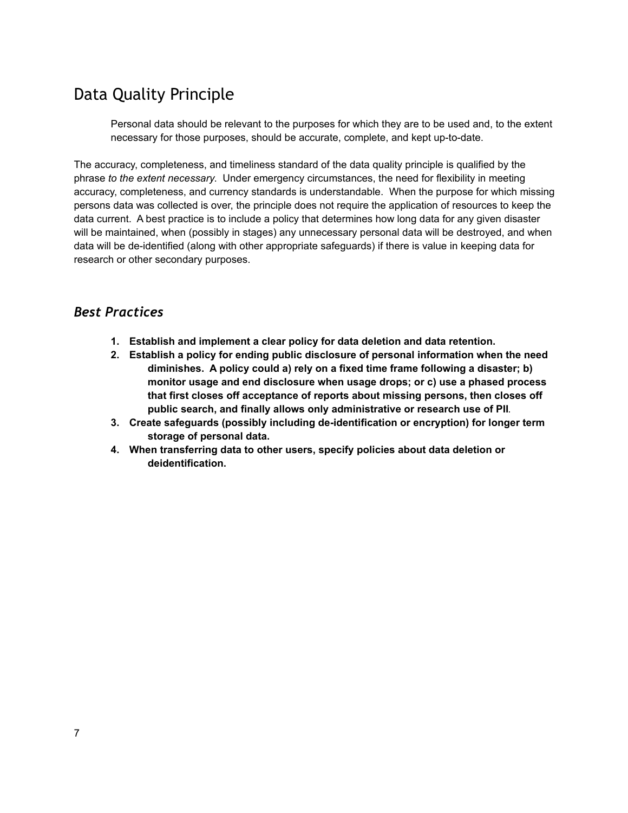### <span id="page-6-0"></span>Data Quality Principle

Personal data should be relevant to the purposes for which they are to be used and, to the extent necessary for those purposes, should be accurate, complete, and kept up-to-date.

The accuracy, completeness, and timeliness standard of the data quality principle is qualified by the phrase *to the extent necessary*. Under emergency circumstances, the need for flexibility in meeting accuracy, completeness, and currency standards is understandable. When the purpose for which missing persons data was collected is over, the principle does not require the application of resources to keep the data current. A best practice is to include a policy that determines how long data for any given disaster will be maintained, when (possibly in stages) any unnecessary personal data will be destroyed, and when data will be de-identified (along with other appropriate safeguards) if there is value in keeping data for research or other secondary purposes.

- **1. Establish and implement a clear policy for data deletion and data retention.**
- **2. Establish a policy for ending public disclosure of personal information when the need diminishes. A policy could a) rely on a fixed time frame following a disaster; b) monitor usage and end disclosure when usage drops; or c) use a phased process that first closes off acceptance of reports about missing persons, then closes off public search, and finally allows only administrative or research use of PII**.
- **3. Create safeguards (possibly including de-identification or encryption) for longer term storage of personal data.**
- **4. When transferring data to other users, specify policies about data deletion or deidentification.**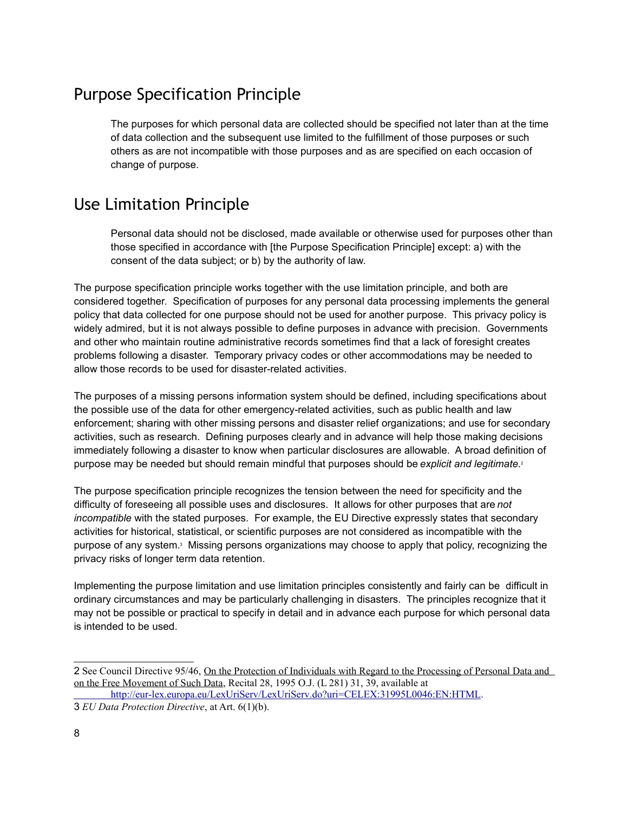### <span id="page-7-1"></span>Purpose Specification Principle

The purposes for which personal data are collected should be specified not later than at the time of data collection and the subsequent use limited to the fulfillment of those purposes or such others as are not incompatible with those purposes and as are specified on each occasion of change of purpose.

## <span id="page-7-0"></span>Use Limitation Principle

Personal data should not be disclosed, made available or otherwise used for purposes other than those specified in accordance with [the Purpose Specification Principle] except: a) with the consent of the data subject; or b) by the authority of law.

The purpose specification principle works together with the use limitation principle, and both are considered together. Specification of purposes for any personal data processing implements the general policy that data collected for one purpose should not be used for another purpose. This privacy policy is widely admired, but it is not always possible to define purposes in advance with precision. Governments and other who maintain routine administrative records sometimes find that a lack of foresight creates problems following a disaster. Temporary privacy codes or other accommodations may be needed to allow those records to be used for disaster-related activities.

The purposes of a missing persons information system should be defined, including specifications about the possible use of the data for other emergency-related activities, such as public health and law enforcement; sharing with other missing persons and disaster relief organizations; and use for secondary activities, such as research. Defining purposes clearly and in advance will help those making decisions immediately following a disaster to know when particular disclosures are allowable. A broad definition of purpose may be needed but should remain mindful that purposes should be *explicit and legitimate*[.](#page-7-2) 2

The purpose specification principle recognizes the tension between the need for specificity and the difficulty of foreseeing all possible uses and disclosures. It allows for other purposes that are *not incompatible* with the stated purposes. For example, the EU Directive expressly states that secondary activities for historical, statistical, or scientific purposes are not considered as incompatible with the purpose of any system.<sup>[3](#page-7-3)</sup> Missing persons organizations may choose to apply that policy, recognizing the privacy risks of longer term data retention.

Implementing the purpose limitation and use limitation principles consistently and fairly can be difficult in ordinary circumstances and may be particularly challenging in disasters. The principles recognize that it may not be possible or practical to specify in detail and in advance each purpose for which personal data is intended to be used.

<span id="page-7-2"></span><sup>2</sup> See Council Directive 95/46, On the Protection of Individuals with Regard to the Processing of Personal Data and on the Free Movement of Such Data, Recital 28, 1995 O.J. (L 281) 31, 39, available at

http://eur-lex.europa.eu/LexUriServ/LexUriServ.do?uri=CELEX:31995L0046:EN:HTML.

<span id="page-7-3"></span><sup>3</sup> *EU Data Protection Directive*, at Art. 6(1)(b).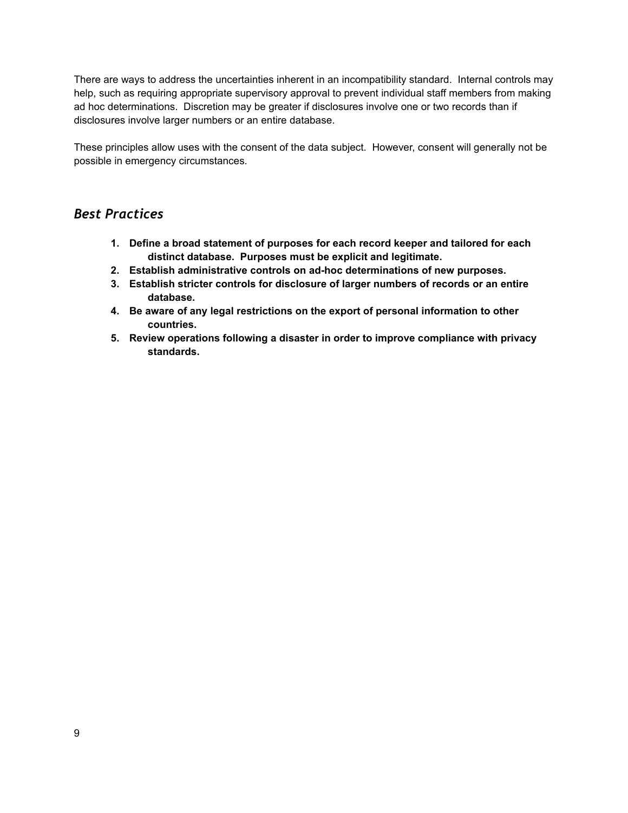There are ways to address the uncertainties inherent in an incompatibility standard. Internal controls may help, such as requiring appropriate supervisory approval to prevent individual staff members from making ad hoc determinations. Discretion may be greater if disclosures involve one or two records than if disclosures involve larger numbers or an entire database.

These principles allow uses with the consent of the data subject. However, consent will generally not be possible in emergency circumstances.

- **1. Define a broad statement of purposes for each record keeper and tailored for each distinct database. Purposes must be explicit and legitimate.**
- **2. Establish administrative controls on ad-hoc determinations of new purposes.**
- **3. Establish stricter controls for disclosure of larger numbers of records or an entire database.**
- **4. Be aware of any legal restrictions on the export of personal information to other countries.**
- **5. Review operations following a disaster in order to improve compliance with privacy standards.**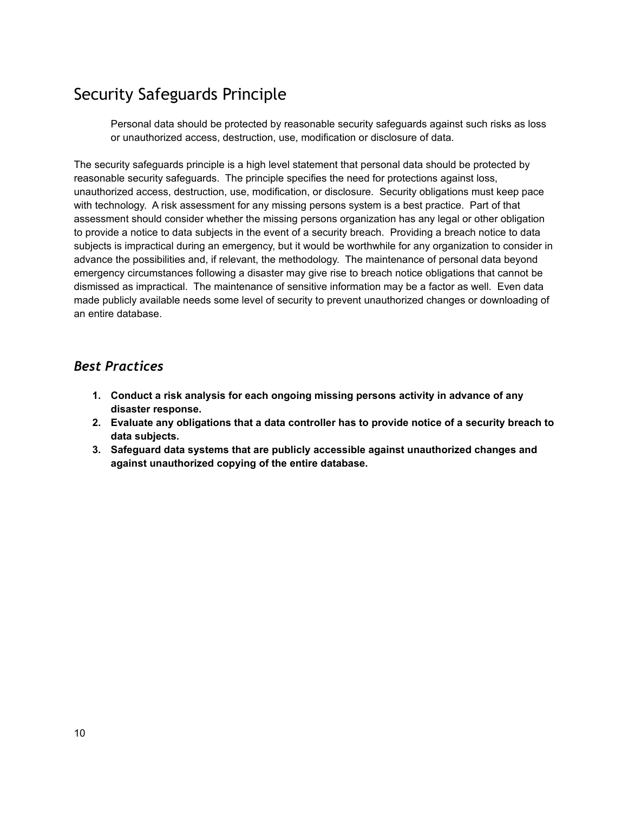### <span id="page-9-0"></span>Security Safeguards Principle

Personal data should be protected by reasonable security safeguards against such risks as loss or unauthorized access, destruction, use, modification or disclosure of data.

The security safeguards principle is a high level statement that personal data should be protected by reasonable security safeguards. The principle specifies the need for protections against loss, unauthorized access, destruction, use, modification, or disclosure. Security obligations must keep pace with technology. A risk assessment for any missing persons system is a best practice. Part of that assessment should consider whether the missing persons organization has any legal or other obligation to provide a notice to data subjects in the event of a security breach. Providing a breach notice to data subjects is impractical during an emergency, but it would be worthwhile for any organization to consider in advance the possibilities and, if relevant, the methodology. The maintenance of personal data beyond emergency circumstances following a disaster may give rise to breach notice obligations that cannot be dismissed as impractical. The maintenance of sensitive information may be a factor as well. Even data made publicly available needs some level of security to prevent unauthorized changes or downloading of an entire database.

- **1. Conduct a risk analysis for each ongoing missing persons activity in advance of any disaster response.**
- **2. Evaluate any obligations that a data controller has to provide notice of a security breach to data subjects.**
- **3. Safeguard data systems that are publicly accessible against unauthorized changes and against unauthorized copying of the entire database.**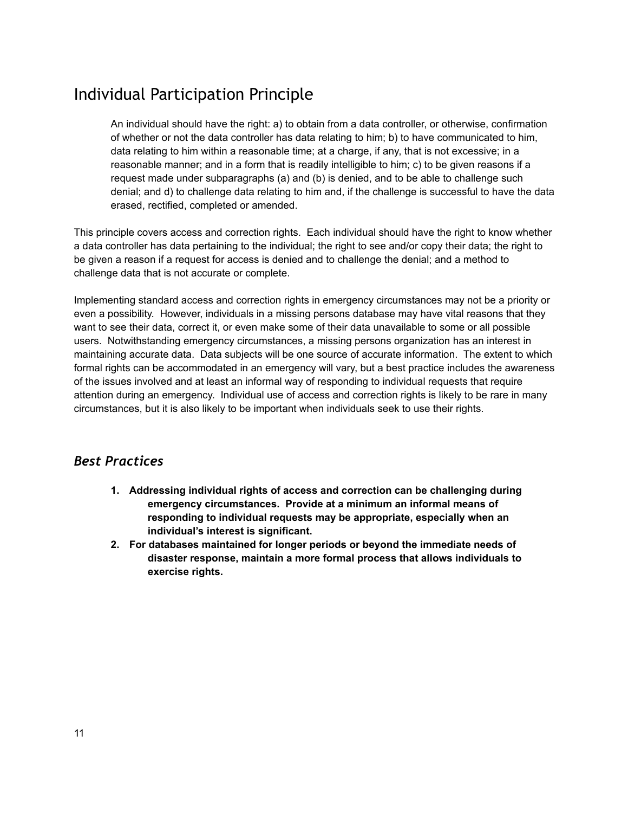### <span id="page-10-0"></span>Individual Participation Principle

An individual should have the right: a) to obtain from a data controller, or otherwise, confirmation of whether or not the data controller has data relating to him; b) to have communicated to him, data relating to him within a reasonable time; at a charge, if any, that is not excessive; in a reasonable manner; and in a form that is readily intelligible to him; c) to be given reasons if a request made under subparagraphs (a) and (b) is denied, and to be able to challenge such denial; and d) to challenge data relating to him and, if the challenge is successful to have the data erased, rectified, completed or amended.

This principle covers access and correction rights. Each individual should have the right to know whether a data controller has data pertaining to the individual; the right to see and/or copy their data; the right to be given a reason if a request for access is denied and to challenge the denial; and a method to challenge data that is not accurate or complete.

Implementing standard access and correction rights in emergency circumstances may not be a priority or even a possibility. However, individuals in a missing persons database may have vital reasons that they want to see their data, correct it, or even make some of their data unavailable to some or all possible users. Notwithstanding emergency circumstances, a missing persons organization has an interest in maintaining accurate data. Data subjects will be one source of accurate information. The extent to which formal rights can be accommodated in an emergency will vary, but a best practice includes the awareness of the issues involved and at least an informal way of responding to individual requests that require attention during an emergency. Individual use of access and correction rights is likely to be rare in many circumstances, but it is also likely to be important when individuals seek to use their rights.

- **1. Addressing individual rights of access and correction can be challenging during emergency circumstances. Provide at a minimum an informal means of responding to individual requests may be appropriate, especially when an individual's interest is significant.**
- **2. For databases maintained for longer periods or beyond the immediate needs of disaster response, maintain a more formal process that allows individuals to exercise rights.**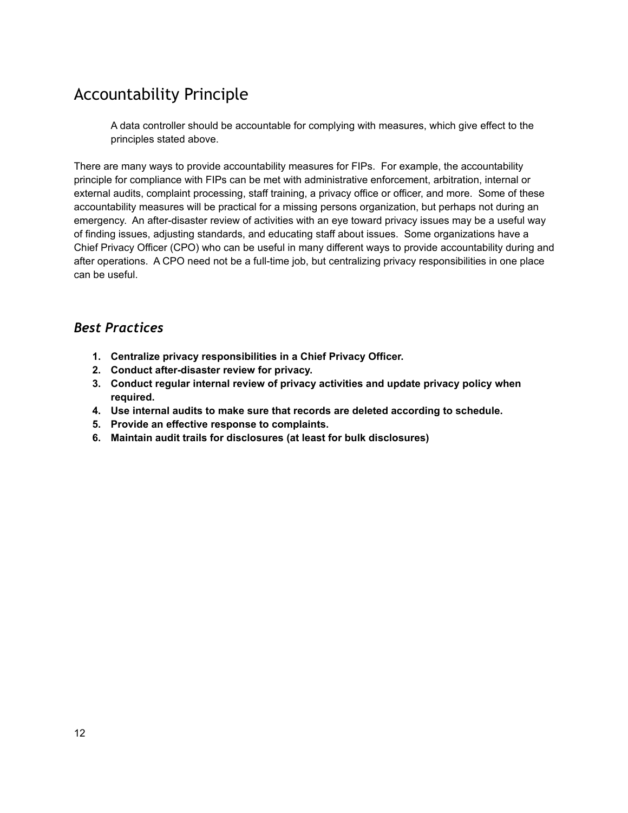### <span id="page-11-0"></span>Accountability Principle

A data controller should be accountable for complying with measures, which give effect to the principles stated above.

There are many ways to provide accountability measures for FIPs. For example, the accountability principle for compliance with FIPs can be met with administrative enforcement, arbitration, internal or external audits, complaint processing, staff training, a privacy office or officer, and more. Some of these accountability measures will be practical for a missing persons organization, but perhaps not during an emergency. An after-disaster review of activities with an eye toward privacy issues may be a useful way of finding issues, adjusting standards, and educating staff about issues. Some organizations have a Chief Privacy Officer (CPO) who can be useful in many different ways to provide accountability during and after operations. A CPO need not be a full-time job, but centralizing privacy responsibilities in one place can be useful.

- **1. Centralize privacy responsibilities in a Chief Privacy Officer.**
- **2. Conduct after-disaster review for privacy.**
- **3. Conduct regular internal review of privacy activities and update privacy policy when required.**
- **4. Use internal audits to make sure that records are deleted according to schedule.**
- **5. Provide an effective response to complaints.**
- **6. Maintain audit trails for disclosures (at least for bulk disclosures)**